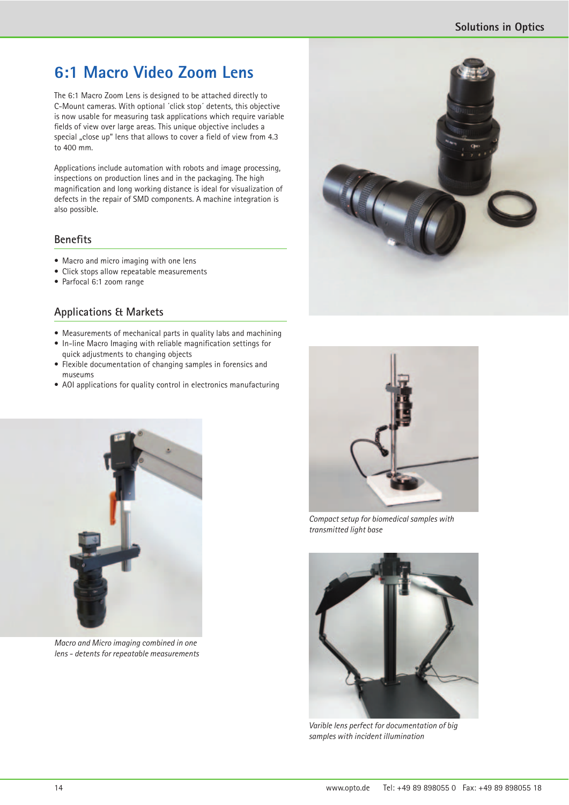# **6:1 Macro Video Zoom Lens**

The 6:1 Macro Zoom Lens is designed to be attached directly to C-Mount cameras. With optional ´click stop´ detents, this objective is now usable for measuring task applications which require variable fields of view over large areas. This unique objective includes a special "close up" lens that allows to cover a field of view from 4.3 to 400 mm.

Applications include automation with robots and image processing, inspections on production lines and in the packaging. The high magnification and long working distance is ideal for visualization of defects in the repair of SMD components. A machine integration is also possible.

### **Benefits**

- Macro and micro imaging with one lens
- Click stops allow repeatable measurements
- Parfocal 6:1 zoom range

## **Applications & Markets**

- Measurements of mechanical parts in quality labs and machining
- In-line Macro Imaging with reliable magnification settings for quick adjustments to changing objects
- Flexible documentation of changing samples in forensics and museums
- AOI applications for quality control in electronics manufacturing



*Macro and Micro imaging combined in one lens - detents for repeatable measurements*





*Compact setup for biomedical samples with transmitted light base*



*Varible lens perfect for documentation of big samples with incident illumination*